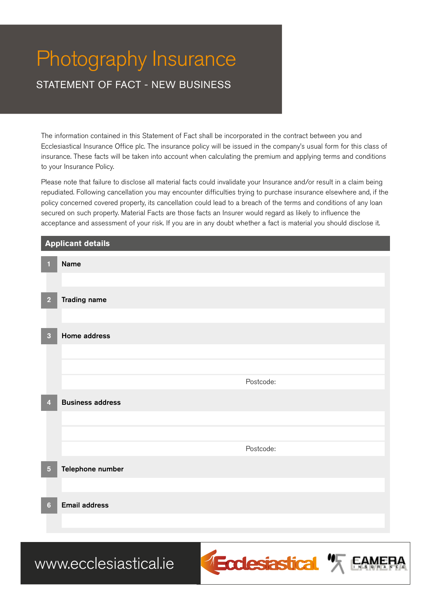# Photography Insurance

# STATEMENT OF FACT - NEW BUSINESS

The information contained in this Statement of Fact shall be incorporated in the contract between you and Ecclesiastical Insurance Office plc. The insurance policy will be issued in the company's usual form for this class of insurance. These facts will be taken into account when calculating the premium and applying terms and conditions to your Insurance Policy.

Please note that failure to disclose all material facts could invalidate your Insurance and/or result in a claim being repudiated. Following cancellation you may encounter difficulties trying to purchase insurance elsewhere and, if the policy concerned covered property, its cancellation could lead to a breach of the terms and conditions of any loan secured on such property. Material Facts are those facts an Insurer would regard as likely to influence the acceptance and assessment of your risk. If you are in any doubt whether a fact is material you should disclose it.

| <b>Applicant details</b> |                         |  |
|--------------------------|-------------------------|--|
| 11                       | Name                    |  |
|                          |                         |  |
| 2 <sup>2</sup>           | <b>Trading name</b>     |  |
|                          |                         |  |
| $\overline{\mathbf{3}}$  | Home address            |  |
|                          |                         |  |
|                          | Postcode:               |  |
| $\overline{4}$           | <b>Business address</b> |  |
|                          |                         |  |
|                          |                         |  |
|                          | Postcode:               |  |
| ${\bf 5}$                | Telephone number        |  |
|                          |                         |  |
| $6\phantom{a}$           | <b>Email address</b>    |  |
|                          |                         |  |

www.ecclesiastical.ie

Ecclesiastical

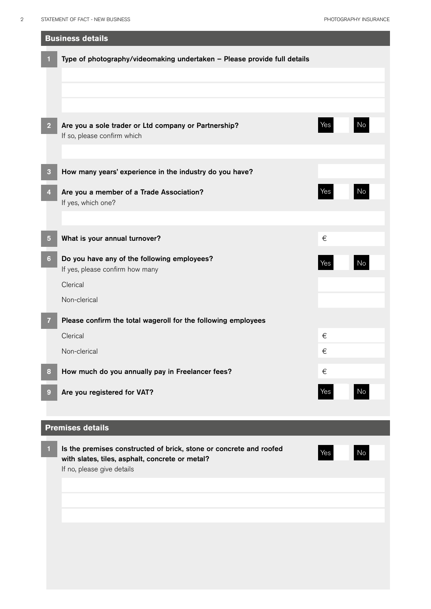| <b>Business details</b> |                                                                                                                                                     |       |    |
|-------------------------|-----------------------------------------------------------------------------------------------------------------------------------------------------|-------|----|
|                         | Type of photography/videomaking undertaken - Please provide full details                                                                            |       |    |
|                         |                                                                                                                                                     |       |    |
|                         |                                                                                                                                                     |       |    |
| 2                       | Are you a sole trader or Ltd company or Partnership?<br>If so, please confirm which                                                                 | Yes   | No |
| $\mathbf{3}$            | How many years' experience in the industry do you have?                                                                                             |       |    |
|                         | Are you a member of a Trade Association?<br>If yes, which one?                                                                                      | Yes   | No |
|                         |                                                                                                                                                     |       |    |
| $\sqrt{5}$              | What is your annual turnover?                                                                                                                       | €     |    |
| 6 <sup>1</sup>          | Do you have any of the following employees?<br>If yes, please confirm how many                                                                      | Yes   | No |
|                         | Clerical                                                                                                                                            |       |    |
|                         | Non-clerical                                                                                                                                        |       |    |
| 7                       | Please confirm the total wageroll for the following employees                                                                                       |       |    |
|                         | Clerical                                                                                                                                            | $\in$ |    |
|                         | Non-clerical                                                                                                                                        | €     |    |
| 8                       | How much do you annually pay in Freelancer fees?                                                                                                    | €     |    |
| 9                       | Are you registered for VAT?                                                                                                                         | Yes   | No |
|                         |                                                                                                                                                     |       |    |
|                         | <b>Premises details</b>                                                                                                                             |       |    |
|                         | Is the premises constructed of brick, stone or concrete and roofed<br>with slates, tiles, asphalt, concrete or metal?<br>If no, please give details | Yes   | No |
|                         |                                                                                                                                                     |       |    |
|                         |                                                                                                                                                     |       |    |
|                         |                                                                                                                                                     |       |    |
|                         |                                                                                                                                                     |       |    |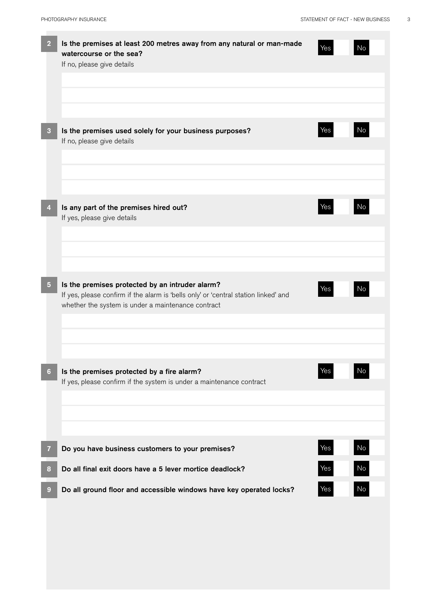| 2  | Is the premises at least 200 metres away from any natural or man-made<br>watercourse or the sea?<br>If no, please give details                                                               | Yes        |          |
|----|----------------------------------------------------------------------------------------------------------------------------------------------------------------------------------------------|------------|----------|
| 3  | Is the premises used solely for your business purposes?<br>If no, please give details                                                                                                        | Yes        | No       |
|    | Is any part of the premises hired out?<br>If yes, please give details                                                                                                                        | Yes        | No       |
| 5. | Is the premises protected by an intruder alarm?<br>If yes, please confirm if the alarm is 'bells only' or 'central station linked' and<br>whether the system is under a maintenance contract | Yes        | No       |
| 6  | Is the premises protected by a fire alarm?<br>If yes, please confirm if the system is under a maintenance contract                                                                           | Yes        | No       |
| 8  | Do you have business customers to your premises?<br>Do all final exit doors have a 5 lever mortice deadlock?                                                                                 | Yes<br>Yes | No<br>No |
|    | Do all ground floor and accessible windows have key operated locks?                                                                                                                          | Yes        | No       |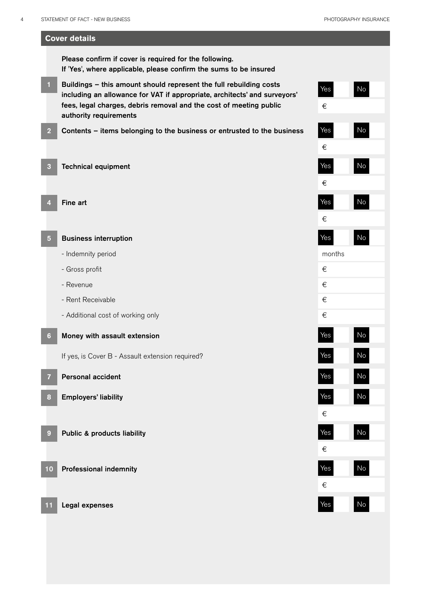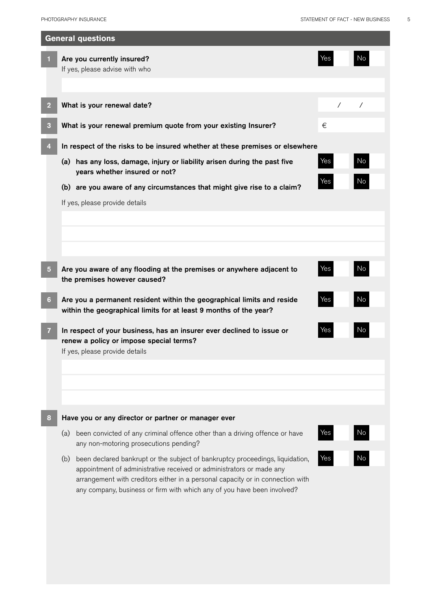| <b>General questions</b> |     |                                                                                                                                                                                                                                                                                                                        |            |                |  |  |
|--------------------------|-----|------------------------------------------------------------------------------------------------------------------------------------------------------------------------------------------------------------------------------------------------------------------------------------------------------------------------|------------|----------------|--|--|
|                          |     | Are you currently insured?<br>If yes, please advise with who                                                                                                                                                                                                                                                           | Yes        | No             |  |  |
|                          |     |                                                                                                                                                                                                                                                                                                                        |            |                |  |  |
| $\overline{2}$           |     | What is your renewal date?                                                                                                                                                                                                                                                                                             | $\sqrt{2}$ | $\overline{ }$ |  |  |
| 3                        |     | What is your renewal premium quote from your existing Insurer?                                                                                                                                                                                                                                                         | €          |                |  |  |
|                          |     | In respect of the risks to be insured whether at these premises or elsewhere                                                                                                                                                                                                                                           |            |                |  |  |
|                          |     | (a) has any loss, damage, injury or liability arisen during the past five<br>years whether insured or not?                                                                                                                                                                                                             | Yes        | No             |  |  |
|                          |     | (b) are you aware of any circumstances that might give rise to a claim?                                                                                                                                                                                                                                                | Yes        | No             |  |  |
|                          |     | If yes, please provide details                                                                                                                                                                                                                                                                                         |            |                |  |  |
|                          |     |                                                                                                                                                                                                                                                                                                                        |            |                |  |  |
|                          |     |                                                                                                                                                                                                                                                                                                                        |            |                |  |  |
|                          |     |                                                                                                                                                                                                                                                                                                                        |            |                |  |  |
| $5\phantom{.0}$          |     | Are you aware of any flooding at the premises or anywhere adjacent to<br>the premises however caused?                                                                                                                                                                                                                  | Yes        | No             |  |  |
| 6                        |     | Are you a permanent resident within the geographical limits and reside<br>within the geographical limits for at least 9 months of the year?                                                                                                                                                                            | Yes        | No             |  |  |
|                          |     | In respect of your business, has an insurer ever declined to issue or<br>renew a policy or impose special terms?<br>If yes, please provide details                                                                                                                                                                     | Yes        | No             |  |  |
|                          |     |                                                                                                                                                                                                                                                                                                                        |            |                |  |  |
|                          |     |                                                                                                                                                                                                                                                                                                                        |            |                |  |  |
|                          |     |                                                                                                                                                                                                                                                                                                                        |            |                |  |  |
| 8                        |     | Have you or any director or partner or manager ever                                                                                                                                                                                                                                                                    |            |                |  |  |
|                          | (a) | been convicted of any criminal offence other than a driving offence or have<br>any non-motoring prosecutions pending?                                                                                                                                                                                                  | Yes        | No             |  |  |
|                          |     | (b) been declared bankrupt or the subject of bankruptcy proceedings, liquidation,<br>appointment of administrative received or administrators or made any<br>arrangement with creditors either in a personal capacity or in connection with<br>any company, business or firm with which any of you have been involved? | Yes        | No             |  |  |
|                          |     |                                                                                                                                                                                                                                                                                                                        |            |                |  |  |
|                          |     |                                                                                                                                                                                                                                                                                                                        |            |                |  |  |
|                          |     |                                                                                                                                                                                                                                                                                                                        |            |                |  |  |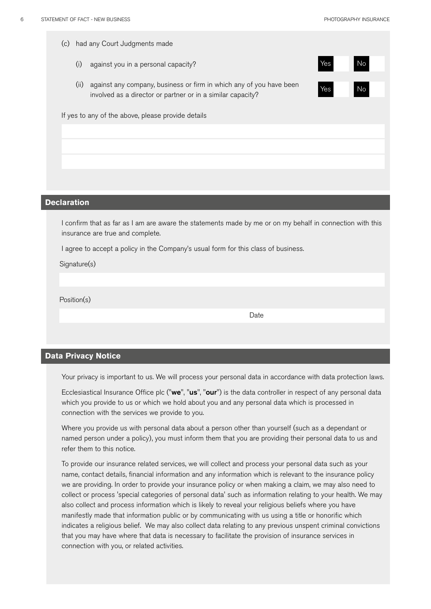|  | (c) had any Court Judgments made |
|--|----------------------------------|
|  |                                  |

- (i) against you in a personal capacity?
- (ii) against any company, business or firm in which any of you have been involved as a director or partner or in a similar capacity?

Yes No Yes No

If yes to any of the above, please provide details

#### **Declaration**

I confirm that as far as I am are aware the statements made by me or on my behalf in connection with this insurance are true and complete.

I agree to accept a policy in the Company's usual form for this class of business.

Signature(s)

Position(s)

Date

### **Data Privacy Notice**

Your privacy is important to us. We will process your personal data in accordance with data protection laws.

Ecclesiastical Insurance Office plc ("we", "us", "our") is the data controller in respect of any personal data which you provide to us or which we hold about you and any personal data which is processed in connection with the services we provide to you.

Where you provide us with personal data about a person other than yourself (such as a dependant or named person under a policy), you must inform them that you are providing their personal data to us and refer them to this notice.

To provide our insurance related services, we will collect and process your personal data such as your name, contact details, financial information and any information which is relevant to the insurance policy we are providing. In order to provide your insurance policy or when making a claim, we may also need to collect or process 'special categories of personal data' such as information relating to your health. We may also collect and process information which is likely to reveal your religious beliefs where you have manifestly made that information public or by communicating with us using a title or honorific which indicates a religious belief. We may also collect data relating to any previous unspent criminal convictions that you may have where that data is necessary to facilitate the provision of insurance services in connection with you, or related activities.